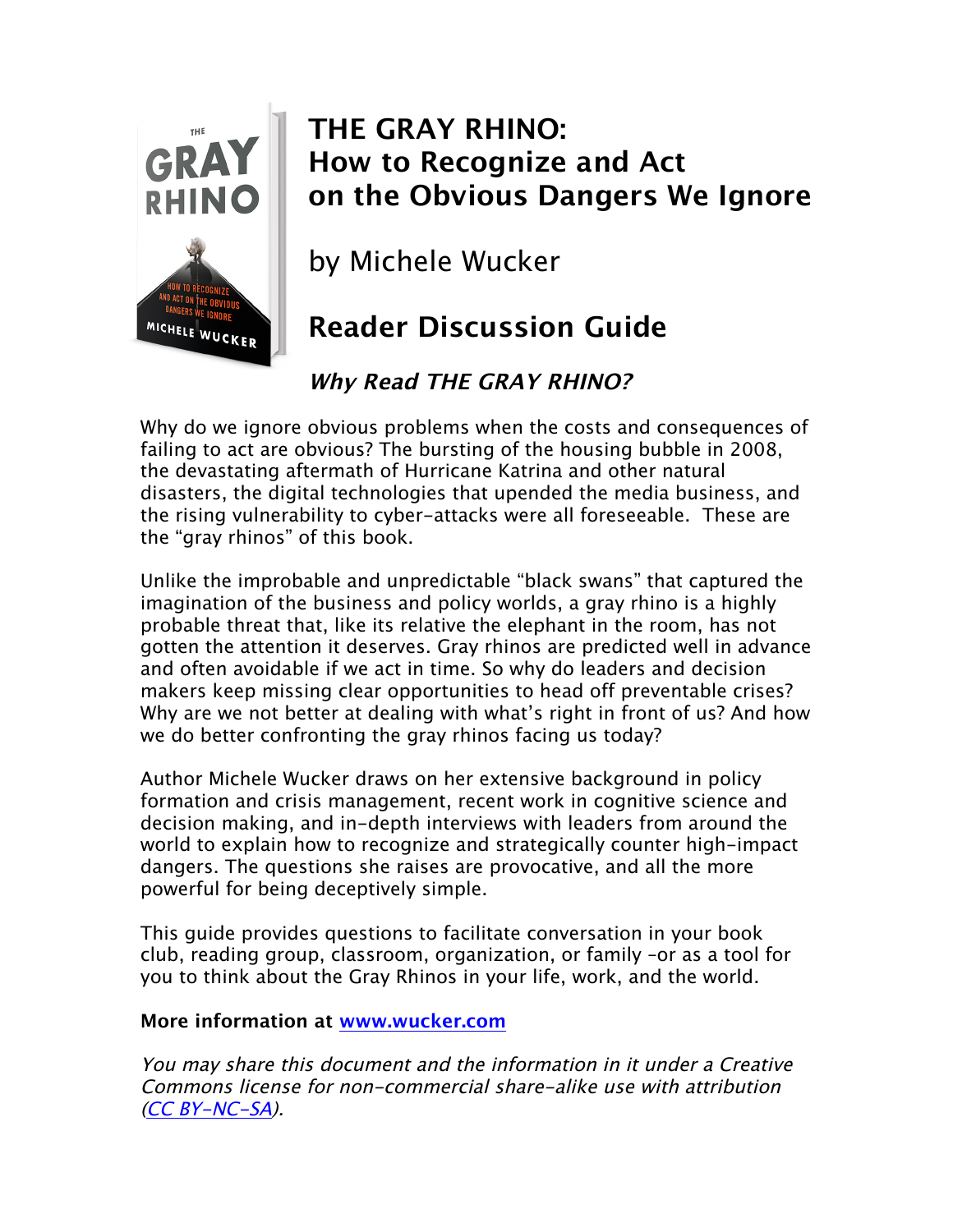

# **THE GRAY RHINO: How to Recognize and Act on the Obvious Dangers We Ignore**

by Michele Wucker

# **Reader Discussion Guide**

## **Why Read THE GRAY RHINO?**

Why do we ignore obvious problems when the costs and consequences of failing to act are obvious? The bursting of the housing bubble in 2008, the devastating aftermath of Hurricane Katrina and other natural disasters, the digital technologies that upended the media business, and the rising vulnerability to cyber-attacks were all foreseeable. These are the "gray rhinos" of this book.

Unlike the improbable and unpredictable "black swans" that captured the imagination of the business and policy worlds, a gray rhino is a highly probable threat that, like its relative the elephant in the room, has not gotten the attention it deserves. Gray rhinos are predicted well in advance and often avoidable if we act in time. So why do leaders and decision makers keep missing clear opportunities to head off preventable crises? Why are we not better at dealing with what's right in front of us? And how we do better confronting the gray rhinos facing us today?

Author Michele Wucker draws on her extensive background in policy formation and crisis management, recent work in cognitive science and decision making, and in-depth interviews with leaders from around the world to explain how to recognize and strategically counter high-impact dangers. The questions she raises are provocative, and all the more powerful for being deceptively simple.

This guide provides questions to facilitate conversation in your book club, reading group, classroom, organization, or family –or as a tool for you to think about the Gray Rhinos in your life, work, and the world.

#### **More information at www.wucker.com**

You may share this document and the information in it under a Creative Commons license for non-commercial share-alike use with attribution (CC BY-NC-SA).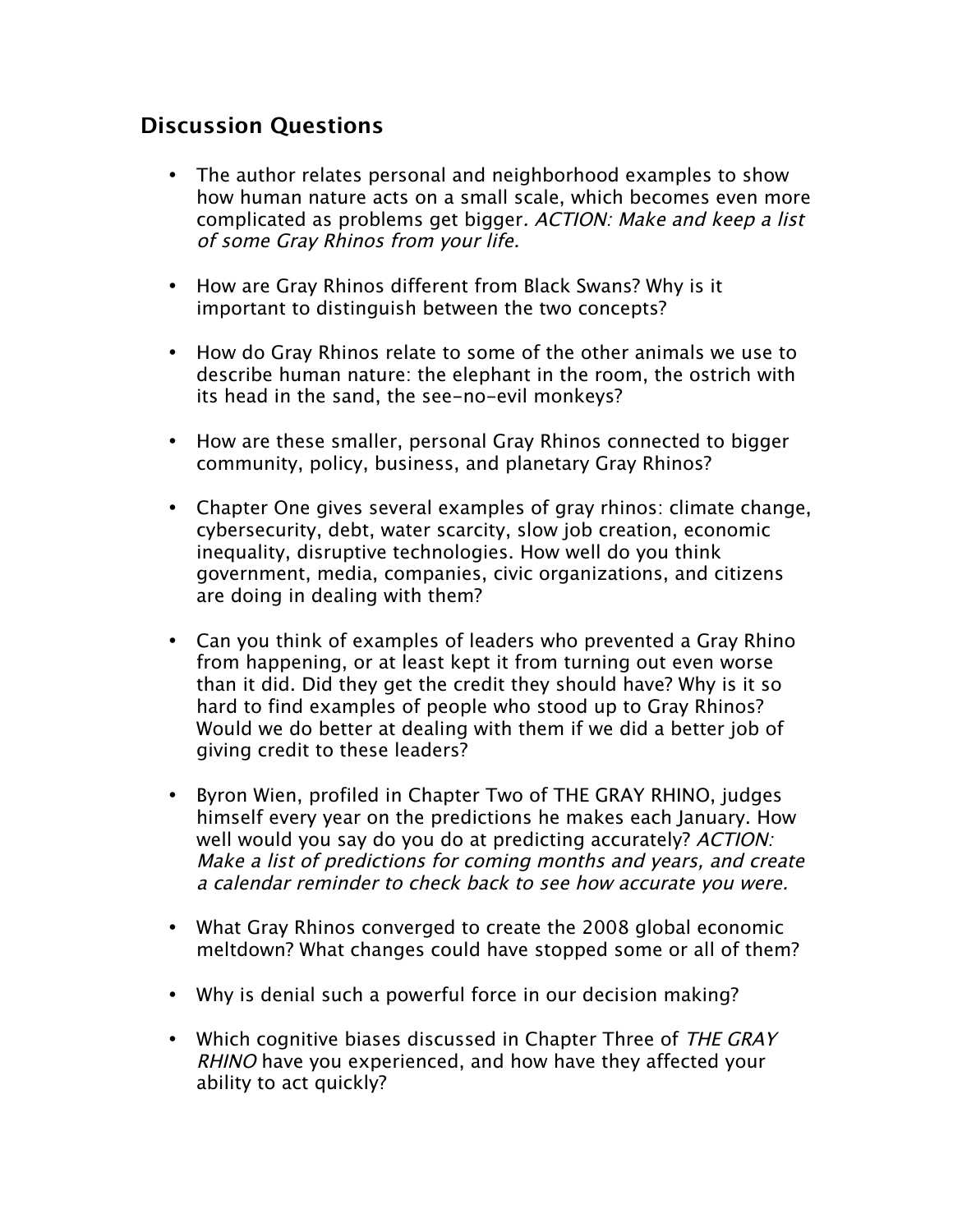### **Discussion Questions**

- The author relates personal and neighborhood examples to show how human nature acts on a small scale, which becomes even more complicated as problems get bigger. ACTION: Make and keep a list of some Gray Rhinos from your life.
- How are Gray Rhinos different from Black Swans? Why is it important to distinguish between the two concepts?
- How do Gray Rhinos relate to some of the other animals we use to describe human nature: the elephant in the room, the ostrich with its head in the sand, the see-no-evil monkeys?
- How are these smaller, personal Gray Rhinos connected to bigger community, policy, business, and planetary Gray Rhinos?
- Chapter One gives several examples of gray rhinos: climate change, cybersecurity, debt, water scarcity, slow job creation, economic inequality, disruptive technologies. How well do you think government, media, companies, civic organizations, and citizens are doing in dealing with them?
- Can you think of examples of leaders who prevented a Gray Rhino from happening, or at least kept it from turning out even worse than it did. Did they get the credit they should have? Why is it so hard to find examples of people who stood up to Gray Rhinos? Would we do better at dealing with them if we did a better job of giving credit to these leaders?
- Byron Wien, profiled in Chapter Two of THE GRAY RHINO, judges himself every year on the predictions he makes each January. How well would you say do you do at predicting accurately? ACTION: Make a list of predictions for coming months and years, and create a calendar reminder to check back to see how accurate you were.
- What Gray Rhinos converged to create the 2008 global economic meltdown? What changes could have stopped some or all of them?
- Why is denial such a powerful force in our decision making?
- Which cognitive biases discussed in Chapter Three of THE GRAY RHINO have you experienced, and how have they affected your ability to act quickly?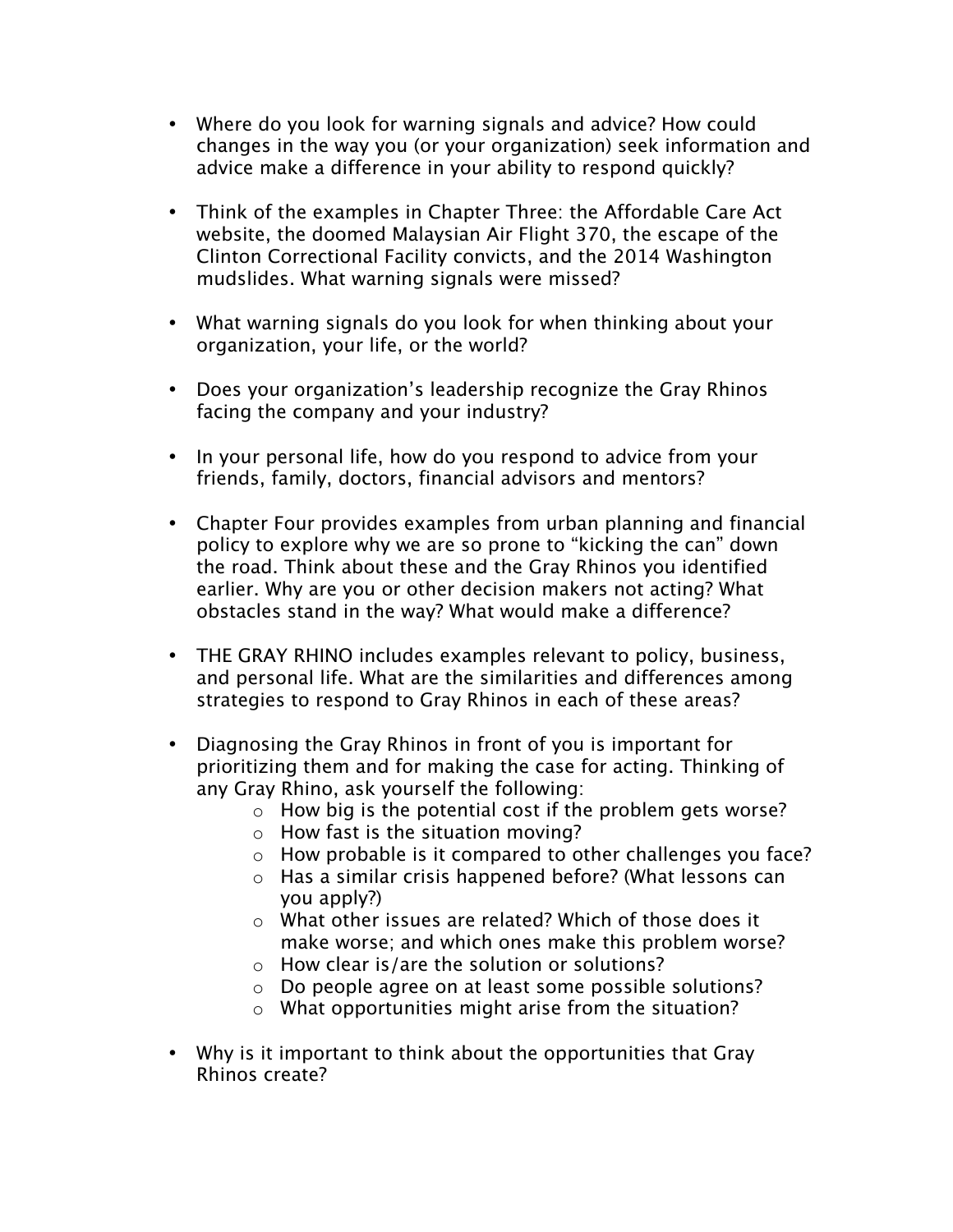- Where do you look for warning signals and advice? How could changes in the way you (or your organization) seek information and advice make a difference in your ability to respond quickly?
- Think of the examples in Chapter Three: the Affordable Care Act website, the doomed Malaysian Air Flight 370, the escape of the Clinton Correctional Facility convicts, and the 2014 Washington mudslides. What warning signals were missed?
- What warning signals do you look for when thinking about your organization, your life, or the world?
- Does your organization's leadership recognize the Gray Rhinos facing the company and your industry?
- In your personal life, how do you respond to advice from your friends, family, doctors, financial advisors and mentors?
- Chapter Four provides examples from urban planning and financial policy to explore why we are so prone to "kicking the can" down the road. Think about these and the Gray Rhinos you identified earlier. Why are you or other decision makers not acting? What obstacles stand in the way? What would make a difference?
- THE GRAY RHINO includes examples relevant to policy, business, and personal life. What are the similarities and differences among strategies to respond to Gray Rhinos in each of these areas?
- Diagnosing the Gray Rhinos in front of you is important for prioritizing them and for making the case for acting. Thinking of any Gray Rhino, ask yourself the following:
	- o How big is the potential cost if the problem gets worse?
	- $\circ$  How fast is the situation moving?
	- o How probable is it compared to other challenges you face?
	- o Has a similar crisis happened before? (What lessons can you apply?)
	- o What other issues are related? Which of those does it make worse; and which ones make this problem worse?
	- o How clear is/are the solution or solutions?
	- o Do people agree on at least some possible solutions?
	- o What opportunities might arise from the situation?
- Why is it important to think about the opportunities that Gray Rhinos create?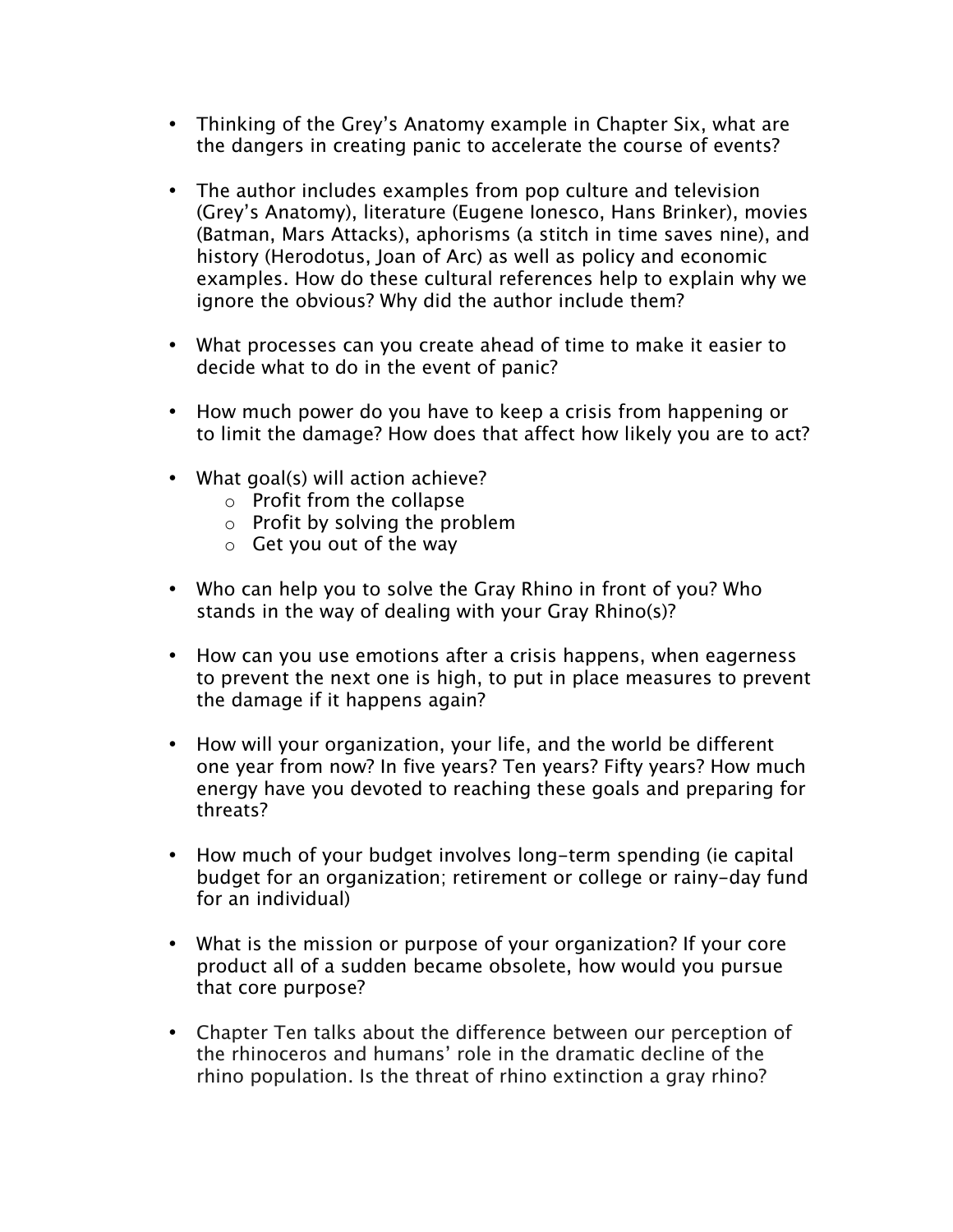- Thinking of the Grey's Anatomy example in Chapter Six, what are the dangers in creating panic to accelerate the course of events?
- The author includes examples from pop culture and television (Grey's Anatomy), literature (Eugene Ionesco, Hans Brinker), movies (Batman, Mars Attacks), aphorisms (a stitch in time saves nine), and history (Herodotus, Joan of Arc) as well as policy and economic examples. How do these cultural references help to explain why we ignore the obvious? Why did the author include them?
- What processes can you create ahead of time to make it easier to decide what to do in the event of panic?
- How much power do you have to keep a crisis from happening or to limit the damage? How does that affect how likely you are to act?
- What goal(s) will action achieve?
	- o Profit from the collapse
	- $\circ$  Profit by solving the problem
	- $\circ$  Get you out of the way
- Who can help you to solve the Gray Rhino in front of you? Who stands in the way of dealing with your Gray Rhino(s)?
- How can you use emotions after a crisis happens, when eagerness to prevent the next one is high, to put in place measures to prevent the damage if it happens again?
- How will your organization, your life, and the world be different one year from now? In five years? Ten years? Fifty years? How much energy have you devoted to reaching these goals and preparing for threats?
- How much of your budget involves long-term spending (ie capital budget for an organization; retirement or college or rainy-day fund for an individual)
- What is the mission or purpose of your organization? If your core product all of a sudden became obsolete, how would you pursue that core purpose?
- Chapter Ten talks about the difference between our perception of the rhinoceros and humans' role in the dramatic decline of the rhino population. Is the threat of rhino extinction a gray rhino?